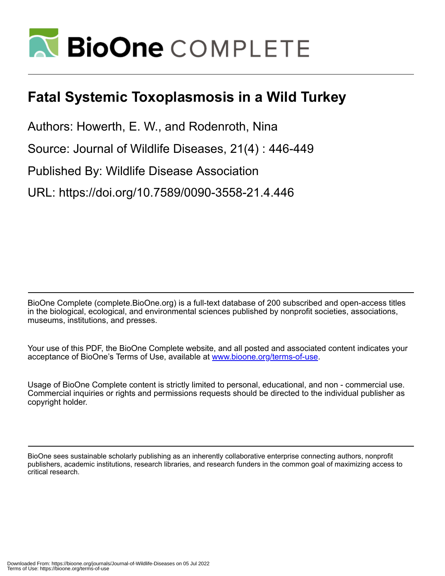

## **Fatal Systemic Toxoplasmosis in a Wild Turkey**

Authors: Howerth, E. W., and Rodenroth, Nina

Source: Journal of Wildlife Diseases, 21(4) : 446-449

Published By: Wildlife Disease Association

URL: https://doi.org/10.7589/0090-3558-21.4.446

BioOne Complete (complete.BioOne.org) is a full-text database of 200 subscribed and open-access titles in the biological, ecological, and environmental sciences published by nonprofit societies, associations, museums, institutions, and presses.

Your use of this PDF, the BioOne Complete website, and all posted and associated content indicates your acceptance of BioOne's Terms of Use, available at www.bioone.org/terms-of-use.

Usage of BioOne Complete content is strictly limited to personal, educational, and non - commercial use. Commercial inquiries or rights and permissions requests should be directed to the individual publisher as copyright holder.

BioOne sees sustainable scholarly publishing as an inherently collaborative enterprise connecting authors, nonprofit publishers, academic institutions, research libraries, and research funders in the common goal of maximizing access to critical research.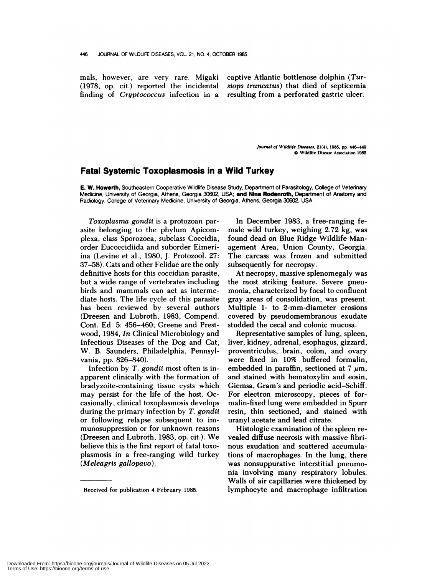finding of *Crypt ococcus* infection in a resulting from a perforated gastric ulcer.

mals, however, are very rare. Migaki captive Atlantic bottlenose dolphin *(Tur-* (1978, op. cit.) reported the incidental *siops truncatus)* that died of septicemia

> *Journal of Wildlife Diseases,* **21(4),** 1985, pp. 446-449 © **Wildlife Disease** Association 1985

## **Fatal Systemic Toxoplasmosis in a Wild Turkey**

**E. W.** Howerth, Southeastern Cooperative Wildlife Disease Study, Department of Parasitology, College of Veterinary Medicine, University of Georgia, Athens, Georgia 30602, USA; **and** Nina Rodenroth, Department of Anatomy and Radiology, College of Veterinary Medicine, University of Georgia, Athens, Georgia 30602, USA

*Toxoplasma gondii* is a protozoan parasite belonging to the phylum Apicomplexa, class Sponozoea, subclass Coccidia, order Eucoccidiida and suborder Eimeri ina (Levine et al., 1980, J. Protozool. 27: 37-58). Cats and other Felidae are the only definitive hosts for this coccidian parasite, but a wide range of vertebrates including birds and mammals can act as intermediate hosts. The life cycle of this parasite has been reviewed by several authors (Dreesen and Lubroth, 1983, Compend. Cont. Ed. 5: 456-460; Greene and Prestwood, 1984, *In* Clinical Microbiology and Infectious Diseases of the Dog and Cat, W. B. Saunders, Philadelphia, Pennsylvania, pp. 826-840).

Infection by *T. gondii* most often is inapparent clinically with the formation of bradyzoite-containing tissue cysts which may persist for the life of the host. Occasionally, clinical toxoplasmosis develops during the primary infection by *T. gondii* or following relapse subsequent to immunosuppression or for unknown reasons (Dreesen and Lubroth, 1983, op. cit.). We believe this is the first report of fatal toxoplasmosis in a free-ranging wild turkey *(Meleagris gallopavo).*

In December 1983, a free-ranging female wild turkey, weighing 2.72 kg, was found dead on Blue Ridge Wildlife Management Area, Union County, Georgia. The carcass was frozen and submitted subsequently for necropsy.

At necropsy, massive splenomegaly was the most striking feature. Severe pneumonia, characterized by focal to confluent gray areas of consolidation, was present. Multiple 1- to 2-mm-diameter erosions covered by pseudomembranous exudate studded the cecal and colonic mucosa.

Representative samples of lung, spleen, liver, kidney, adrenal, esophagus, gizzard, proventriculus, brain, colon, and ovary were fixed in 10% buffered formalin, embedded in paraffin, sectioned at 7  $\mu$ m, and stained with hematoxylin and eosin, Giemsa, Gram's and periodic acid-Schiff. For electron microscopy, pieces of formalin-fixed lung were embedded in Spurn resin, thin sectioned, and stained with urany! acetate and lead citrate.

Histologic examination of the spleen re vealed diffuse necrosis with massive fibri nous exudation and scattered accumulations of macrophages. In the lung, there was nonsuppurative interstitial pneumonia involving many respiratory lobules. Walls of air capillaries were thickened by lymphocyte and macrophage infiltration

Received for publication 4 February 1985.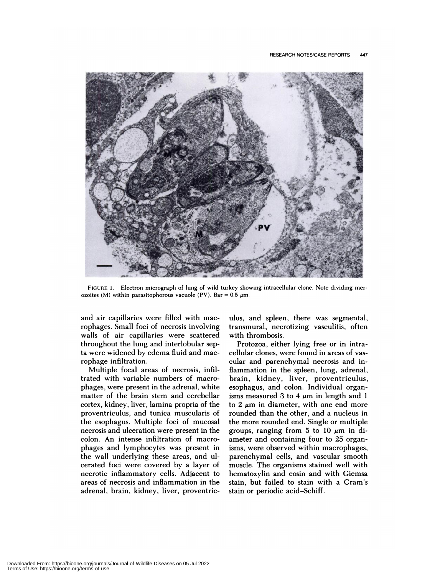

**FIGURE** 1. Electron micrograph of lung of wild turkey showing intracellular clone. Note dividing mer ozoites (M) within parasitophorous vacuole (PV). Bar =  $0.5 \mu$ m.

and air capillaries were filled with macrophages. Small foci of necrosis involving walls of air capillaries were scattered throughout the lung and interlobular septa were widened by edema fluid and mac rophage infiltration.

Multiple focal areas of necrosis, infi! trated with variable numbers of macro phages, were present in the adrenal, white matter of the brain stem and cerebellar cortex, kidney, liver, lamina propria of the proventriculus, and tunica muscularis of the esophagus. Multiple foci of mucosal necrosis and ulceration were present in the colon. An intense infiltration of macro phages and lymphocytes was present in the wall underlying these areas, and ulcerated foci were covered by a layer of necrotic inflammatory cells. Adjacent to areas of necrosis and inflammation in the adrenal, brain, kidney, liver, proventriculus, and spleen, there was segmental, transmural, necrotizing vasculitis, often with thrombosis.

Protozoa, either lying free or in intracellular clones, were found in areas of vas cular and parenchymal necrosis and inflammation in the spleen, lung, adrenal, brain, kidney, liver, proventriculus, esophagus, and colon. Individual organisms measured 3 to 4  $\mu$ m in length and 1 to  $2 \mu m$  in diameter, with one end more rounded than the other, and a nucleus in the more rounded end. Single or multiple groups, ranging from 5 to 10  $\mu$ m in diameter and containing four to 25 organisms, were observed within macrophages, parenchyma! cells, and vascular smooth muscle. The organisms stained well with hematoxylin and eosin and with Giemsa stain, but failed to stain with a Gram's stain or periodic acid-Schiff.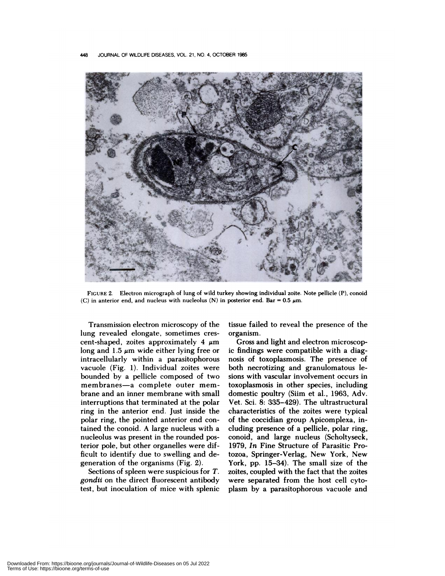

FIGURE 2. Electron micrograph of lung of wild turkey showing individual zoite. Note pellicle (P), conoid (C) in anterior end, and nucleus with nucleolus (N) in posterior end. Bar = 0.5  $\mu$ m.

Transmission electron microscopy of the lung revealed elongate, sometimes cres cent-shaped, zoites approximately 4  $\mu$ m long and 1.5  $\mu$ m wide either lying free or intracellularly within a parasitophorous vacuole (Fig. 1). Individual zoites were bounded by a pellicle composed of two membranes-a complete outer membrane and an inner membrane with small interruptions that terminated at the polar ring in the anterior end. Just inside the polar ring, the pointed anterior end contained the conoid. A large nucleus with a nucleolus was present in the rounded posterior pole, but other organelles were difficult to identify due to swelling and degeneration of the organisms (Fig. 2).

Sections of spleen were suspicious for *T. gondii* on the direct fluorescent antibody test, but inoculation of mice with splenic tissue failed to reveal the presence of the organism.

Gross and light and electron microscopic findings were compatible with a diagnosis of toxoplasmosis. The presence of both necrotizing and granulomatous lesions with vascular involvement occurs in toxoplasmosis in other species, including domestic poultry (Siim et al., 1963, Adv. Vet. Sci. 8: 335-429). The ultrastructural characteristics of the zoites were typical of the coccidian group Apicomplexa, including presence of a pellicle, polar ring, conoid, and large nucleus (Scholtyseck, 1979, *In* Fine Structure of Parasitic Protozoa, Springer-Verlag, New York, New York, pp. 15-34). The small size of the zoites, coupled with the fact that the zoites were separated from the host cell cytoplasm by a parasitophorous vacuole and